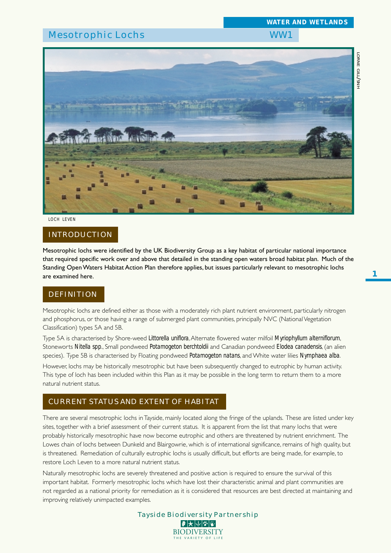# Mesotrophic Lochs WW1

*WATER AND WETLANDS*



#### *LOCH LEVEN*

# INTRODUCTION

Mesotrophic lochs were identified by the UK Biodiversity Group as a key habitat of particular national importance that required specific work over and above that detailed in the standing open waters broad habitat plan. Much of the Standing Open Waters Habitat Action Plan therefore applies, but issues particularly relevant to mesotrophic lochs are examined here.

# DEFINITION

Mesotrophic lochs are defined either as those with a moderately rich plant nutrient environment, particularly nitrogen and phosphorus, or those having a range of submerged plant communities, principally NVC (National Vegetation Classification) types 5A and 5B.

Type 5A is characterised by Shore-weed *Littorella uniflora*, Alternate flowered water milfoil *Myriophyllum alterniflorum*, Stoneworts *Nitella spp*., Small pondweed *Potamogeton berchtoldii* and Canadian pondweed *Elodea canadensis*, (an alien species). Type 5B is characterised by Floating pondweed *Potamogeton natans*, and White water lilies *Nymphaea alba*.

However, lochs may be historically mesotrophic but have been subsequently changed to eutrophic by human activity. This type of loch has been included within this Plan as it may be possible in the long term to return them to a more natural nutrient status.

# CURRENT STATUS AND EXTENT OF HABITAT

There are several mesotrophic lochs in Tayside, mainly located along the fringe of the uplands. These are listed under key sites, together with a brief assessment of their current status. It is apparent from the list that many lochs that were probably historically mesotrophic have now become eutrophic and others are threatened by nutrient enrichment. The Lowes chain of lochs between Dunkeld and Blairgowrie, which is of international significance, remains of high quality, but is threatened. Remediation of culturally eutrophic lochs is usually difficult, but efforts are being made, for example, to restore Loch Leven to a more natural nutrient status.

Naturally mesotrophic lochs are severely threatened and positive action is required to ensure the survival of this important habitat. Formerly mesotrophic lochs which have lost their characteristic animal and plant communities are not regarded as a national priority for remediation as it is considered that resources are best directed at maintaining and improving relatively unimpacted examples.

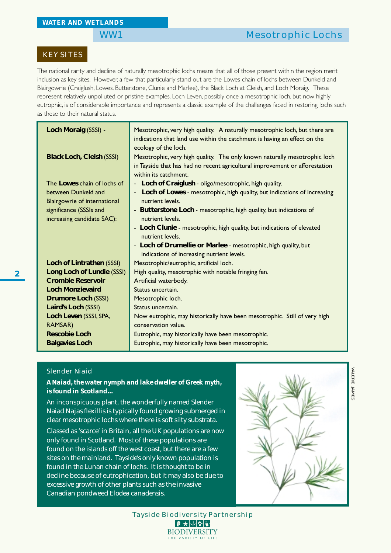# KEY SITES

The national rarity and decline of naturally mesotrophic lochs means that all of those present within the region merit inclusion as key sites. However, a few that particularly stand out are the Lowes chain of lochs between Dunkeld and Blairgowrie (Craiglush, Lowes, Butterstone, Clunie and Marlee), the Black Loch at Cleish, and Loch Moraig. These represent relatively unpolluted or pristine examples. Loch Leven, possibly once a mesotrophic loch, but now highly eutrophic, is of considerable importance and represents a classic example of the challenges faced in restoring lochs such as these to their natural status.

| Loch Moraig (SSSI) -                                  | Mesotrophic, very high quality. A naturally mesotrophic loch, but there are<br>indications that land use within the catchment is having an effect on the<br>ecology of the loch.  |
|-------------------------------------------------------|-----------------------------------------------------------------------------------------------------------------------------------------------------------------------------------|
| <b>Black Loch, Cleish (SSSI)</b>                      | Mesotrophic, very high quality. The only known naturally mesotrophic loch<br>in Tayside that has had no recent agricultural improvement or afforestation<br>within its catchment. |
| The Lowes chain of lochs of                           | - Loch of Craiglush - oligo/mesotrophic, high quality.                                                                                                                            |
| between Dunkeld and<br>Blairgowrie of international   | - Loch of Lowes - mesotrophic, high quality, but indications of increasing<br>nutrient levels.                                                                                    |
| significance (SSSIs and<br>increasing candidate SAC): | - Butterstone Loch - mesotrophic, high quality, but indications of<br>nutrient levels.                                                                                            |
|                                                       | - Loch Clunie - mesotrophic, high quality, but indications of elevated<br>nutrient levels.                                                                                        |
|                                                       | - Loch of Drumellie or Marlee - mesotrophic, high quality, but<br>indications of increasing nutrient levels.                                                                      |
| Loch of Lintrathen (SSSI)                             | Mesotrophic/eutrophic, artificial loch.                                                                                                                                           |
| Long Loch of Lundie (SSSI)                            | High quality, mesotrophic with notable fringing fen.                                                                                                                              |
| <b>Crombie Reservoir</b>                              | Artificial waterbody.                                                                                                                                                             |
| <b>Loch Monzievaird</b>                               | Status uncertain.                                                                                                                                                                 |
| <b>Drumore Loch (SSSI)</b>                            | Mesotrophic loch.                                                                                                                                                                 |
| Laird's Loch (SSSI)                                   | Status uncertain.                                                                                                                                                                 |
| Loch Leven (SSSI, SPA,                                | Now eutrophic, may historically have been mesotrophic. Still of very high                                                                                                         |
| <b>RAMSAR)</b>                                        | conservation value.                                                                                                                                                               |
| <b>Rescobie Loch</b>                                  | Eutrophic, may historically have been mesotrophic.                                                                                                                                |
| <b>Balgavies Loch</b>                                 | Eutrophic, may historically have been mesotrophic.                                                                                                                                |

## Slender Niaid

*A Naiad, the water nymph and lake dweller of Greek myth, is found in Scotland...*

An inconspicuous plant, the wonderfully named Slender Naiad *Najas flexillis* is typically found growing submerged in clear mesotrophic lochs where there is soft silty substrata.

Classed as 'scarce' in Britain, all the UK populations are now only found in Scotland. Most of these populations are found on the islands off the west coast, but there are a few sites on the mainland. Tayside's only known population is found in the Lunan chain of lochs. It is thought to be in decline because of eutrophication, but it may also be due to excessive growth of other plants such as the invasive Canadian pondweed *Elodea canadensis*.



Tayside Biodiversity Partnership **BIODIVERSITY** THE VARIETY OF LIF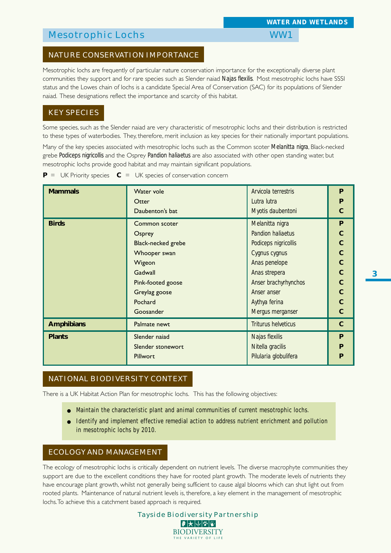# Mesotrophic Lochs WW1

# NATURE CONSERVATION IMPORTANCE

Mesotrophic lochs are frequently of particular nature conservation importance for the exceptionally diverse plant communities they support and for rare species such as Slender naiad *Najas flexilis*. Most mesotrophic lochs have SSSI status and the Lowes chain of lochs is a candidate Special Area of Conservation (SAC) for its populations of Slender naiad. These designations reflect the importance and scarcity of this habitat.

### KEY SPECIES

Some species, such as the Slender naiad are very characteristic of mesotrophic lochs and their distribution is restricted to these types of waterbodies. They, therefore, merit inclusion as key species for their nationally important populations.

Many of the key species associated with mesotrophic lochs such as the Common scoter *Melanitta nigra*, Black-necked grebe *Podiceps nigricollis* and the Osprey *Pandion haliaetus* are also associated with other open standing water, but mesotrophic lochs provide good habitat and may maintain significant populations.

 $P = UK$  Priority species  $C = UK$  species of conservation concern

| <b>Mammals</b>    | Water vole                                        | Arvicola terrestris        | P           |  |  |  |
|-------------------|---------------------------------------------------|----------------------------|-------------|--|--|--|
|                   | Otter                                             | Lutra lutra                | P           |  |  |  |
|                   | Daubenton's bat                                   | Myotis daubentoni          | $\mathbf C$ |  |  |  |
| <b>Birds</b>      | Common scoter                                     | Melanitta nigra            | P           |  |  |  |
|                   | <b>Pandion haliaetus</b><br>Osprey                |                            |             |  |  |  |
|                   | <b>Black-necked grebe</b><br>Podiceps nigricollis |                            |             |  |  |  |
|                   | Whooper swan                                      | Cygnus cygnus              |             |  |  |  |
|                   | Wigeon                                            | Anas penelope              | $\mathbf C$ |  |  |  |
|                   | Gadwall                                           | Anas strepera              | $\mathbf C$ |  |  |  |
|                   | Pink-footed goose                                 | Anser brachyrhynchos       | $\mathbf C$ |  |  |  |
|                   | Greylag goose                                     | Anser anser                | $\mathbf C$ |  |  |  |
|                   | Pochard                                           | Aythya ferina              | C           |  |  |  |
|                   | Goosander                                         | Mergus merganser           | C           |  |  |  |
| <b>Amphibians</b> | Palmate newt                                      | <b>Triturus helveticus</b> | $\mathbf C$ |  |  |  |
| <b>Plants</b>     | Slender naiad                                     | Najas flexilis             | P           |  |  |  |
|                   | Slender stonewort                                 | Nitella gracilis           | P           |  |  |  |
|                   | Pillwort                                          | Pilularia globulifera      | P           |  |  |  |

# NATIONAL BIODIVERSITY CONTEXT

There is a UK Habitat Action Plan for mesotrophic lochs. This has the following objectives:

- Maintain the characteristic plant and animal communities of current mesotrophic lochs.
- Identify and implement effective remedial action to address nutrient enrichment and pollution in mesotrophic lochs by 2010.

## ECOLOGY AND MANAGEMENT

The ecology of mesotrophic lochs is critically dependent on nutrient levels. The diverse macrophyte communities they support are due to the excellent conditions they have for rooted plant growth. The moderate levels of nutrients they have encourage plant growth, whilst not generally being sufficient to cause algal blooms which can shut light out from rooted plants. Maintenance of natural nutrient levels is, therefore, a key element in the management of mesotrophic lochs. To achieve this a catchment based approach is required.

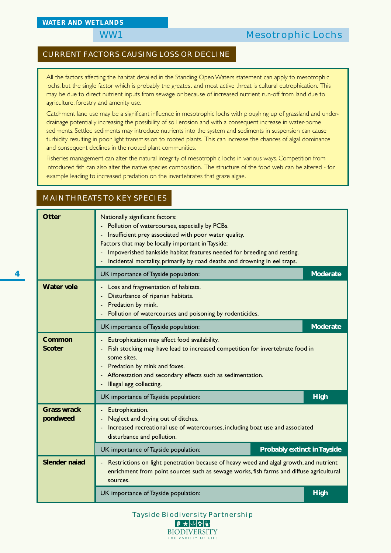MAIN THREATS TO KEY SPECIES

# WW1 Mesotrophic Lochs

## CURRENT FACTORS CAUSING LOSS OR DECLINE

All the factors affecting the habitat detailed in the Standing Open Waters statement can apply to mesotrophic lochs, but the single factor which is probably the greatest and most active threat is cultural eutrophication. This may be due to direct nutrient inputs from sewage or because of increased nutrient run-off from land due to agriculture, forestry and amenity use.

Catchment land use may be a significant influence in mesotrophic lochs with ploughing up of grassland and underdrainage potentially increasing the possibility of soil erosion and with a consequent increase in water-borne sediments. Settled sediments may introduce nutrients into the system and sediments in suspension can cause turbidity resulting in poor light transmission to rooted plants. This can increase the chances of algal dominance and consequent declines in the rooted plant communities.

Fisheries management can alter the natural integrity of mesotrophic lochs in various ways. Competition from introduced fish can also alter the native species composition. The structure of the food web can be altered - for example leading to increased predation on the invertebrates that graze algae.

# **Otter** Nationally significant factors: - Pollution of watercourses, especially by PCBs. - Insufficient prey associated with poor water quality. Factors that may be locally important in Tayside: - Impoverished bankside habitat features needed for breeding and resting. - Incidental mortality, primarily by road deaths and drowning in eel traps. UK importance of Tayside population: **Moderate** Moderate **Water vole**  $\vert \cdot \vert$  Loss and fragmentation of habitats. - Disturbance of riparian habitats. - Predation by mink. - Pollution of watercourses and poisoning by rodenticides. UK importance of Tayside population: **Moderate** and Moderate and Moderate and Moderate **Common Fig. 4** - Eutrophication may affect food availability. **Scoter** - Fish stocking may have lead to increased competition for invertebrate food in some sites. - Predation by mink and foxes. - Afforestation and secondary effects such as sedimentation. Illegal egg collecting. UK importance of Tayside population: **High High High Grass wrack**  $\vert$  - Eutrophication. **pondweed** | - Neglect and drying out of ditches. - Increased recreational use of watercourses, including boat use and associated disturbance and pollution. UK importance of Tayside population: **Probably extinct in Tayside Slender naiad** - Restrictions on light penetration because of heavy weed and algal growth, and nutrient enrichment from point sources such as sewage works, fish farms and diffuse agricultural sources. UK importance of Tayside population: **High High High**

Tayside Biodiversity Partnership |₽ ★ ↓ ↓ ↓ ↓ ↓ **BIODIVERSITY** THE VARIETY OF LI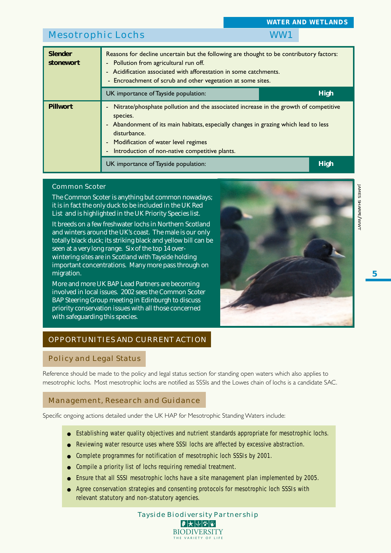| Mesotrophic Lochs                    |                                                                                                                                                                                                                                                                                                                                                                      |  |             |  |  |  |  |  |
|--------------------------------------|----------------------------------------------------------------------------------------------------------------------------------------------------------------------------------------------------------------------------------------------------------------------------------------------------------------------------------------------------------------------|--|-------------|--|--|--|--|--|
| <b>Slender</b><br>stonewort          | Reasons for decline uncertain but the following are thought to be contributory factors:<br>Pollution from agricultural run off.<br>$\overline{\phantom{0}}$<br>Acidification associated with afforestation in some catchments.<br>$\overline{\phantom{0}}$<br>- Encroachment of scrub and other vegetation at some sites.                                            |  |             |  |  |  |  |  |
| UK importance of Tayside population: |                                                                                                                                                                                                                                                                                                                                                                      |  |             |  |  |  |  |  |
| <b>Pillwort</b>                      | Nitrate/phosphate pollution and the associated increase in the growth of competitive<br>$\overline{a}$<br>species.<br>Abandonment of its main habitats, especially changes in grazing which lead to less<br>$\overline{\phantom{0}}$<br>disturbance.<br>Modification of water level regimes<br>$\overline{a}$<br>Introduction of non-native competitive plants.<br>٠ |  |             |  |  |  |  |  |
|                                      | UK importance of Tayside population:                                                                                                                                                                                                                                                                                                                                 |  | <b>High</b> |  |  |  |  |  |

### Common Scoter

The Common Scoter is anything but common nowadays; it is in fact the only duck to be included in the UK Red List and is highlighted in the UK Priority Species list.

It breeds on a few freshwater lochs in Northern Scotland and winters around the UK's coast. The male is our only totally black duck; its striking black and yellow bill can be seen at a very long range. Six of the top 14 overwintering sites are in Scotland with Tayside holding important concentrations. Many more pass through on migration.

More and more UK BAP Lead Partners are becoming involved in local issues. 2002 sees the Common Scoter BAP Steering Group meeting in Edinburgh to discuss priority conservation issues with all those concerned with safeguarding this species.



*WATER AND WETLANDS*

# OPPORTUNITIES AND CURRENT ACTION

# Policy and Legal Status

Reference should be made to the policy and legal status section for standing open waters which also applies to mesotrophic lochs. Most mesotrophic lochs are notified as SSSIs and the Lowes chain of lochs is a candidate SAC.

# Management, Research and Guidance

Specific ongoing actions detailed under the UK HAP for Mesotrophic Standing Waters include:

- Establishing water quality objectives and nutrient standards appropriate for mesotrophic lochs.
- Reviewing water resource uses where SSSI lochs are affected by excessive abstraction.
- Complete programmes for notification of mesotrophic loch SSSIs by 2001.
- Compile a priority list of lochs requiring remedial treatment.
- Ensure that all SSSI mesotrophic lochs have a site management plan implemented by 2005.
- Agree conservation strategies and consenting protocols for mesotrophic loch SSSIs with relevant statutory and non-statutory agencies.

Tayside Biodiversity Partnership  $|\mathcal{F}|$  $\bigtriangledown$   $|\mathcal{F}|$   $|\mathcal{F}|$ **BIODIVERSITY** THE VARIETY OF LIF

*JAMES*

*SHARPE*

*/WWT*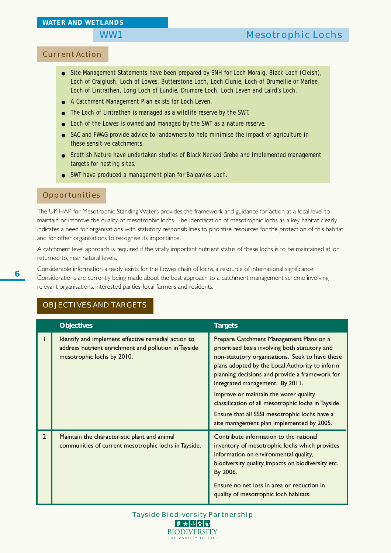# Current Action

- Site Management Statements have been prepared by SNH for Loch Moraig, Black Loch (Cleish), Loch of Craiglush, Loch of Lowes, Butterstone Loch, Loch Clunie, Loch of Drumellie or Marlee, Loch of Lintrathen, Long Loch of Lundie, Drumore Loch, Loch Leven and Laird's Loch.
- A Catchment Management Plan exists for Loch Leven.
- The Loch of Lintrathen is managed as a wildlife reserve by the SWT.
- Loch of the Lowes is owned and managed by the SWT as a nature reserve.
- SAC and FWAG provide advice to landowners to help minimise the impact of agriculture in these sensitive catchments.
- Scottish Nature have undertaken studies of Black Necked Grebe and implemented management targets for nesting sites.
- SWT have produced a management plan for Balgavies Loch.

#### Opportunities

The UK HAP for Mesotrophic Standing Waters provides the framework and guidance for action at a local level to maintain or improve the quality of mesotrophic lochs. The identification of mesotrophic lochs as a key habitat clearly indicates a need for organisations with statutory responsibilities to prioritise resources for the protection of this habitat and for other organisations to recognise its importance.

A catchment level approach is required if the vitally important nutrient status of these lochs is to be maintained at, or returned to, near natural levels.

Considerable information already exists for the Lowes chain of lochs, a resource of international significance. Considerations are currently being made about the best approach to a catchment management scheme involving relevant organisations, interested parties, local farmers and residents.

### OBJECTIVES AND TARGETS

|                | <b>Objectives</b>                                                                                                                         | <b>Targets</b>                                                                                                                                                                                                                                                                                                                                                                                                                                                                    |
|----------------|-------------------------------------------------------------------------------------------------------------------------------------------|-----------------------------------------------------------------------------------------------------------------------------------------------------------------------------------------------------------------------------------------------------------------------------------------------------------------------------------------------------------------------------------------------------------------------------------------------------------------------------------|
|                | Identify and implement effective remedial action to<br>address nutrient enrichment and pollution in Tayside<br>mesotrophic lochs by 2010. | Prepare Catchment Management Plans on a<br>prioritised basis involving both statutory and<br>non-statutory organisations. Seek to have these<br>plans adopted by the Local Authority to inform<br>planning decisions and provide a framework for<br>integrated management. By 2011.<br>Improve or maintain the water quality<br>classification of all mesotrophic lochs in Tayside.<br>Ensure that all SSSI mesotrophic lochs have a<br>site management plan implemented by 2005. |
| $\overline{2}$ | Maintain the characteristic plant and animal<br>communities of current mesotrophic lochs in Tayside.                                      | Contribute information to the national<br>inventory of mesotrophic lochs which provides<br>information on environmental quality,<br>biodiversity quality, impacts on biodiversity etc.<br>By 2006.<br>Ensure no net loss in area or reduction in<br>quality of mesotrophic loch habitats.                                                                                                                                                                                         |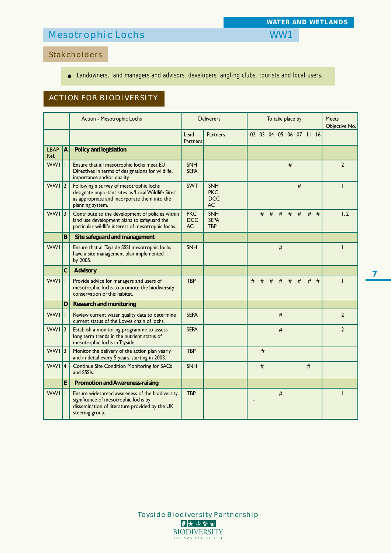# Mesotrophic Lochs WW1

# Stakeholders

# ● Landowners, land managers and advisors, developers, angling clubs, tourists and local users.

# ACTION FOR BIODIVERSITY

|                     |                | Action - Mesotrophic Lochs                                                                                                                                         |                                | <b>Deliverers</b>                            |   | To take place by | <b>Meets</b><br>Objective No. |                         |   |       |   |   |                |
|---------------------|----------------|--------------------------------------------------------------------------------------------------------------------------------------------------------------------|--------------------------------|----------------------------------------------|---|------------------|-------------------------------|-------------------------|---|-------|---|---|----------------|
|                     |                |                                                                                                                                                                    | Lead<br><b>Partners</b>        | <b>Partners</b>                              |   |                  |                               | 02 03 04 05 06 07 11 16 |   |       |   |   |                |
| <b>LBAP</b><br>Ref. | $\overline{A}$ | Policy and legislation                                                                                                                                             |                                |                                              |   |                  |                               |                         |   |       |   |   |                |
| <b>WWI</b>          |                | Ensure that all mesotrophic lochs meet EU<br>Directives in terms of designations for wildlife,<br>importance and/or quality.                                       | <b>SNH</b><br><b>SEPA</b>      |                                              |   |                  |                               |                         | # |       |   |   | $\overline{2}$ |
| WWI <sub>12</sub>   |                | Following a survey of mesotrophic lochs<br>designate important sites as 'Local Wildlife Sites'<br>as appropriate and incorporate them into the<br>planning system. | <b>SWT</b>                     | <b>SNH</b><br><b>PKC</b><br><b>DCC</b><br>AC |   |                  |                               |                         |   | #     |   |   |                |
| $WWI$ 3             |                | Contribute to the development of policies within<br>land use development plans to safeguard the<br>particular wildlife interest of mesotrophic lochs.              | <b>PKC</b><br><b>DCC</b><br>AC | <b>SNH</b><br><b>SEPA</b><br><b>TBP</b>      |   | #                | #                             | #                       |   | $#$ # | # | # | 1, 2           |
|                     | B              | Site safeguard and management                                                                                                                                      |                                |                                              |   |                  |                               |                         |   |       |   |   |                |
| <b>WWI</b>          |                | Ensure that all Tayside SSSI mesotrophic lochs<br>have a site management plan implemented<br>by 2005.                                                              | <b>SNH</b>                     |                                              |   |                  |                               | #                       |   |       |   |   | $\mathbf{I}$   |
|                     | $\mathbf{C}$   | <b>Advisory</b>                                                                                                                                                    |                                |                                              |   |                  |                               |                         |   |       |   |   |                |
| <b>WWI</b>          |                | Provide advice for managers and users of<br>mesotrophic lochs to promote the biodiversity<br>conservation of this habitat.                                         | <b>TBP</b>                     |                                              | # | #                | #                             | #                       | # | #     | # | # |                |
|                     | D              | <b>Research and monitoring</b>                                                                                                                                     |                                |                                              |   |                  |                               |                         |   |       |   |   |                |
| <b>WWI</b>          |                | Review current water quality data to determine<br>current status of the Lowes chain of lochs.                                                                      | <b>SEPA</b>                    |                                              |   |                  |                               | $\#$                    |   |       |   |   | $\overline{2}$ |
| <b>WWI</b>          | $\mathbf{2}$   | Establish a monitoring programme to assess<br>long term trends in the nutrient status of<br>mesotrophic lochs in Tayside.                                          | <b>SEPA</b>                    |                                              |   |                  |                               | #                       |   |       |   |   | $\overline{2}$ |
| $WWI$ 3             |                | Monitor the delivery of the action plan yearly<br>and in detail every 5 years, starting in 2003.                                                                   | <b>TBP</b>                     |                                              |   | #                |                               |                         |   |       |   |   |                |
| <b>WWI</b>          | 14             | <b>Continue Site Condition Monitoring for SACs</b><br>and SSSIs.                                                                                                   | <b>SNH</b>                     |                                              |   | #                |                               |                         |   |       | # |   |                |
|                     | E              | <b>Promotion and Awareness-raising</b>                                                                                                                             |                                |                                              |   |                  |                               |                         |   |       |   |   |                |
| <b>WWI</b>          |                | Ensure widespread awareness of the biodiversity<br>significance of mesotrophic lochs by<br>dissemination of literature provided by the UK<br>steering group.       | <b>TBP</b>                     |                                              |   |                  |                               | $\#$                    |   |       |   |   |                |